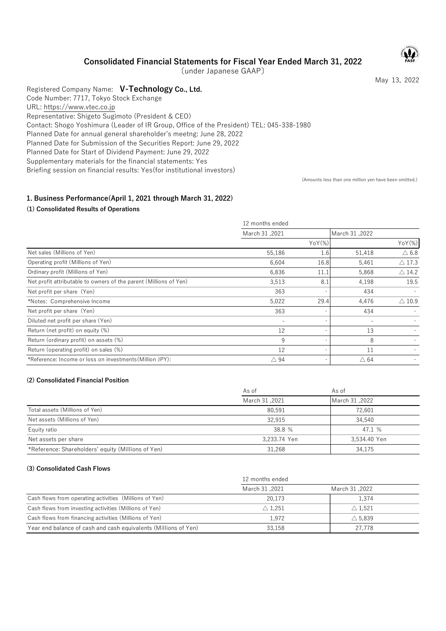Consolidated Financial Statements for Fiscal Year Ended March 31, 2022

〔under Japanese GAAP〕

May 13, 2022

Registered Company Name: V-Technology Co., Ltd. Code Number: 7717, Tokyo Stock Exchange URL: https://www.vtec.co.jp Representative: Shigeto Sugimoto (President & CEO) Contact: Shogo Yoshimura (Leader of IR Group, Office of the President) TEL: 045-338-1980 Planned Date for annual general shareholder's meetng: June 28, 2022 Planned Date for Submission of the Securities Report: June 29, 2022 Planned Date for Start of Dividend Payment: June 29, 2022 Supplementary materials for the financial statements: Yes Briefing session on financial results: Yes(for institutional investors)

(Amounts less than one million yen have been omitted.)

# 1. Business Performance(April 1, 2021 through March 31, 2022)

# (1) Consolidated Results of Operations

| (1) Consolidated Results of Operations                            |                 |        |                  |                  |
|-------------------------------------------------------------------|-----------------|--------|------------------|------------------|
|                                                                   | 12 months ended |        |                  |                  |
|                                                                   | March 31,2021   |        | March 31,2022    |                  |
|                                                                   |                 | YoY(%) |                  | YoY(%)           |
| Net sales (Millions of Yen)                                       | 55,186          | 1.6    | 51,418           | $\triangle$ 6.8  |
| Operating profit (Millions of Yen)                                | 6,604           | 16.8   | 5,461            | $\triangle$ 17.3 |
| Ordinary profit (Millions of Yen)                                 | 6.836           | 11.1   | 5,868            | $\triangle$ 14.2 |
| Net profit attributable to owners of the parent (Millions of Yen) | 3,513           | 8.1    | 4,198            | 19.5             |
| Net profit per share (Yen)                                        | 363             |        | 434              |                  |
| *Notes: Comprehensive Income                                      | 5,022           | 29.4   | 4,476            | $\triangle$ 10.9 |
| Net profit per share (Yen)                                        | 363             |        | 434              |                  |
| Diluted net profit per share (Yen)                                | $\sim$          |        | $\sim$           |                  |
| Return (net profit) on equity (%)                                 | 12              |        | 13               |                  |
| Return (ordinary profit) on assets (%)                            | 9               |        | 8                |                  |
| Return (operating profit) on sales (%)                            | 12              |        | 11               |                  |
| *Reference: Income or loss on investments (Million JPY):          | $\triangle$ 94  |        | $\triangle$ 64   |                  |
| (2) Consolidated Financial Position                               | As of           |        | As of            |                  |
|                                                                   | March 31,2021   |        | March 31,2022    |                  |
| Total assets (Millions of Yen)                                    | 80,591          |        | 72,601           |                  |
| Net assets (Millions of Yen)                                      | 32,915          |        | 34,540           |                  |
| Equity ratio                                                      | 38.8 %          |        | 47.1 %           |                  |
| Net assets per share                                              | 3,233.74 Yen    |        | 3,534.40 Yen     |                  |
| *Reference: Shareholders' equity (Millions of Yen)                | 31,268          |        | 34,175           |                  |
| (3) Consolidated Cash Flows                                       |                 |        |                  |                  |
|                                                                   | 12 months ended |        |                  |                  |
|                                                                   | March 31,2021   |        | March 31,2022    |                  |
| Cash flows from operating activities (Millions of Yen)            | 20,173          |        | 1,374            |                  |
| Cash flows from investing activities (Millions of Yen)            | $\wedge$ 1 251  |        | $\wedge$ 1 5 2 1 |                  |

## (2) Consolidated Financial Position

| Net profit per share (Yen)                               | 363                      | 434               |
|----------------------------------------------------------|--------------------------|-------------------|
| Diluted net profit per share (Yen)                       | $\overline{\phantom{a}}$ |                   |
| Return (net profit) on equity (%)                        | 12                       | 13                |
| Return (ordinary profit) on assets (%)                   | 9                        | 8                 |
| Return (operating profit) on sales (%)                   | 12                       | 11                |
| *Reference: Income or loss on investments (Million JPY): | $\triangle$ 94           | $\triangle$ 64    |
|                                                          |                          |                   |
| (2) Consolidated Financial Position                      |                          |                   |
|                                                          | As of                    | As of             |
|                                                          | March 31,2021            | Narch 31,2022     |
| Total assets (Millions of Yen)                           | 80,591                   | 72,601            |
| Net assets (Millions of Yen)                             | 32,915                   | 34,540            |
| Equity ratio                                             | 38.8 %                   | 47.1 %            |
| Net assets per share                                     | 3,233.74 Yen             | 3,534.40 Yen      |
| *Reference: Shareholders' equity (Millions of Yen)       | 31,268                   | 34,175            |
|                                                          |                          |                   |
| (3) Consolidated Cash Flows                              |                          |                   |
|                                                          | 12 months ended          |                   |
|                                                          |                          |                   |
|                                                          | March 31,2021            | March 31,2022     |
| Cash flows from operating activities (Millions of Yen)   | 20,173                   | 1,374             |
| Cash flows from investing activities (Millions of Yen)   | $\triangle$ 1,251        | $\triangle$ 1,521 |
| Cash flows from financing activities (Millions of Yen)   | 1,972                    | $\triangle$ 5,839 |

#### (3) Consolidated Cash Flows

|                                                                 | 12 months ended   |                   |  |
|-----------------------------------------------------------------|-------------------|-------------------|--|
|                                                                 | March 31,2021     | 2022. March 31    |  |
| Cash flows from operating activities (Millions of Yen)          | 20.173            | 1.374             |  |
| Cash flows from investing activities (Millions of Yen)          | $\triangle$ 1.251 | $\triangle$ 1.521 |  |
| Cash flows from financing activities (Millions of Yen)          | 1.972             | $\triangle$ 5.839 |  |
| Year end balance of cash and cash equivalents (Millions of Yen) | 33.158            | 27,778            |  |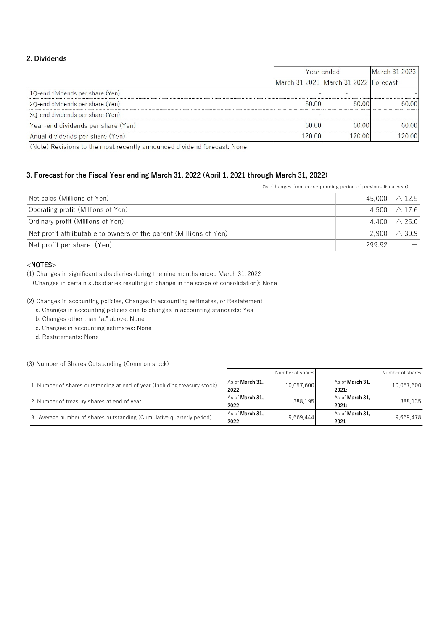# 2. Dividends

|                                                                                                                                                                                                            |                                                                | Year ended             | March 31 2023                                          |
|------------------------------------------------------------------------------------------------------------------------------------------------------------------------------------------------------------|----------------------------------------------------------------|------------------------|--------------------------------------------------------|
|                                                                                                                                                                                                            | March 31 2021                                                  | March 31 2022 Forecast |                                                        |
| 1Q-end dividends per share (Yen)                                                                                                                                                                           |                                                                |                        |                                                        |
| 2Q-end dividends per share (Yen)                                                                                                                                                                           | 60.00                                                          | 60.00                  | 60.00                                                  |
| 3Q-end dividends per share (Yen)                                                                                                                                                                           |                                                                |                        |                                                        |
|                                                                                                                                                                                                            |                                                                |                        |                                                        |
| Year-end dividends per share (Yen)                                                                                                                                                                         | 60.00                                                          | 60.00                  | 60.00                                                  |
| Anual dividends per share (Yen)<br>(Note) Revisions to the most recently announced dividend forecast: None<br>3. Forecast for the Fiscal Year ending March 31, 2022 (April 1, 2021 through March 31, 2022) | 120.00                                                         | 120.00                 | 120.00                                                 |
|                                                                                                                                                                                                            | (%: Changes from corresponding period of previous fiscal year) |                        |                                                        |
| Net sales (Millions of Yen)                                                                                                                                                                                |                                                                |                        | 45,000<br>$\triangle$ 12.5                             |
| Operating profit (Millions of Yen)                                                                                                                                                                         |                                                                |                        | 4,500<br>$\triangle$ 17.6                              |
| Ordinary profit (Millions of Yen)<br>Net profit attributable to owners of the parent (Millions of Yen)                                                                                                     |                                                                |                        | $\triangle$ 25.0<br>4,400<br>$\triangle$ 30.9<br>2,900 |

# 3. Forecast for the Fiscal Year ending March 31, 2022 (April 1, 2021 through March 31, 2022)

| Net sales (Millions of Yen)                                                                                                                                                                                                                                                                                                                                                                                                                    |                         |                                | 45,000                   | $\triangle$ 12.5               |
|------------------------------------------------------------------------------------------------------------------------------------------------------------------------------------------------------------------------------------------------------------------------------------------------------------------------------------------------------------------------------------------------------------------------------------------------|-------------------------|--------------------------------|--------------------------|--------------------------------|
| Operating profit (Millions of Yen)                                                                                                                                                                                                                                                                                                                                                                                                             |                         |                                | 4,500                    | $\triangle$ 17.6               |
| Ordinary profit (Millions of Yen)                                                                                                                                                                                                                                                                                                                                                                                                              |                         |                                | 4,400                    | $\triangle$ 25.0               |
| Net profit attributable to owners of the parent (Millions of Yen)                                                                                                                                                                                                                                                                                                                                                                              |                         |                                | 2,900                    | $\triangle$ 30.9               |
| Net profit per share (Yen)                                                                                                                                                                                                                                                                                                                                                                                                                     |                         |                                | 299.92                   | —                              |
| (1) Changes in significant subsidiaries during the nine months ended March 31, 2022<br>(Changes in certain subsidiaries resulting in change in the scope of consolidation): None<br>(2) Changes in accounting policies, Changes in accounting estimates, or Restatement<br>a. Changes in accounting policies due to changes in accounting standards: Yes<br>b. Changes other than "a." above: None<br>c. Changes in accounting estimates: None |                         |                                |                          |                                |
| d. Restatements: None                                                                                                                                                                                                                                                                                                                                                                                                                          |                         |                                |                          |                                |
| (3) Number of Shares Outstanding (Common stock)                                                                                                                                                                                                                                                                                                                                                                                                |                         |                                |                          |                                |
| 1. Number of shares outstanding at end of year (Including treasury stock)                                                                                                                                                                                                                                                                                                                                                                      | As of March 31,<br>2022 | Number of shares<br>10,057,600 | As of March 31,<br>2021: | Number of shares<br>10,057,600 |
| 2. Number of treasury shares at end of year                                                                                                                                                                                                                                                                                                                                                                                                    | As of March 31,<br>2022 | 388,195                        | As of March 31,<br>2021: | 388,135                        |

## <NOTES>

### (3) Number of Shares Outstanding (Common stock)

|                                                                           |                 | Number of shares |                        | Number of shares |
|---------------------------------------------------------------------------|-----------------|------------------|------------------------|------------------|
| 1. Number of shares outstanding at end of year (Including treasury stock) | As of March 31. | 10.057.600       | As of <b>March 31.</b> | 10.057.600       |
|                                                                           | 2022            |                  | 2021:                  |                  |
| 2. Number of treasury shares at end of year                               | As of March 31. | 388,195          | As of <b>March 31.</b> | 388.135          |
|                                                                           | 2022            |                  | 2021:                  |                  |
| 3. Average number of shares outstanding (Cumulative quarterly period)     | As of March 31. | 9,669,444        | As of <b>March 31.</b> | 9,669,478        |
|                                                                           | 2022            |                  | 2021                   |                  |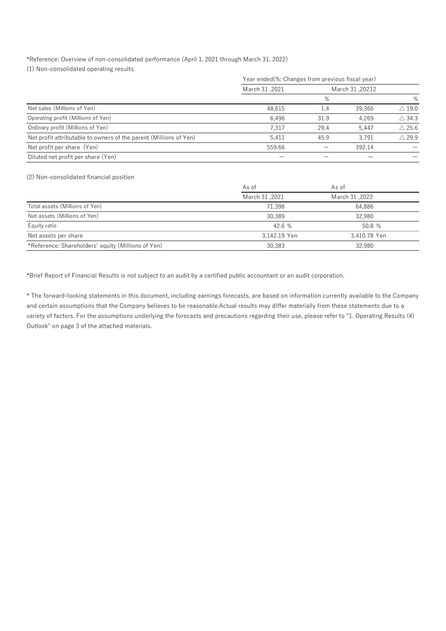# \*Reference: Overview of non-consolidated performance (April 1, 2021 through March 31, 2022)

| *Reference: Overview of non-consolidated performance (April 1, 2021 through March 31, 2022) |                                                  |                          |                          |                  |
|---------------------------------------------------------------------------------------------|--------------------------------------------------|--------------------------|--------------------------|------------------|
| (1) Non-consolidated operating results                                                      |                                                  |                          |                          |                  |
|                                                                                             | Year ended(%: Changes from previous fiscal year) |                          |                          |                  |
|                                                                                             | March 31,2021                                    |                          | March 31,20212           |                  |
|                                                                                             |                                                  | %                        |                          | %                |
| Net sales (Millions of Yen)                                                                 | 48,615                                           | 1.4                      | 39,366                   | $\triangle$ 19.0 |
| Operating profit (Millions of Yen)                                                          | 6,496                                            | 31.9                     | 4,269                    | $\triangle$ 34.3 |
| Ordinary profit (Millions of Yen)                                                           | 7,317                                            | 29.4                     | 5,447                    | $\triangle$ 25.6 |
| Net profit attributable to owners of the parent (Millions of Yen)                           | 5,411                                            | 45.9                     | 3,791                    | $\triangle$ 29.9 |
| Net profit per share (Yen)                                                                  | 559.66                                           | $\overline{\phantom{m}}$ | 392.14                   |                  |
| Diluted net profit per share (Yen)                                                          | $\overline{\phantom{m}}$                         | $\qquad \qquad -$        | $\overline{\phantom{m}}$ |                  |
|                                                                                             |                                                  |                          |                          |                  |
| (2) Non-consolidated financial position                                                     |                                                  |                          |                          |                  |
|                                                                                             | As of                                            | As of                    |                          |                  |
|                                                                                             | March 31,2021                                    |                          | March 31,2022            |                  |
| Total assets (Millions of Yen)                                                              | 71,398                                           |                          | 64,886                   |                  |
|                                                                                             | 30,389                                           |                          | 32,980                   |                  |
|                                                                                             | 42.6 %                                           |                          | 50.8 %                   |                  |
| Net assets (Millions of Yen)                                                                |                                                  |                          | 3,410.78 Yen             |                  |
| Equity ratio                                                                                | 3,142.19 Yen                                     |                          |                          |                  |
| Net assets per share                                                                        |                                                  |                          |                          |                  |
| *Reference: Shareholders' equity (Millions of Yen)                                          | 30,383                                           |                          | 32,980                   |                  |
|                                                                                             |                                                  |                          |                          |                  |

### (2) Non-consolidated financial position

|                                                    | As of          | As of          |
|----------------------------------------------------|----------------|----------------|
|                                                    | 2021, March 31 | 2022. March 31 |
| Total assets (Millions of Yen)                     | 71.398         | 64.886         |
| Net assets (Millions of Yen)                       | 30,389         | 32,980         |
| Equity ratio                                       | 42.6 %         | 50.8%          |
| Net assets per share                               | 3.142.19 Yen   | 3.410.78 Yen   |
| *Reference: Shareholders' equity (Millions of Yen) | 30,383         | 32,980         |

\* The forward-looking statements in this document, including earnings forecasts, are based on information currently available to the Company and certain assumptions that the Company believes to be reasonable.Actual results may differ materially from these statements due to a variety of factors. For the assumptions underlying the forecasts and precautions regarding their use, please refer to "1. Operating Results (4) Outlook" on page 3 of the attached materials.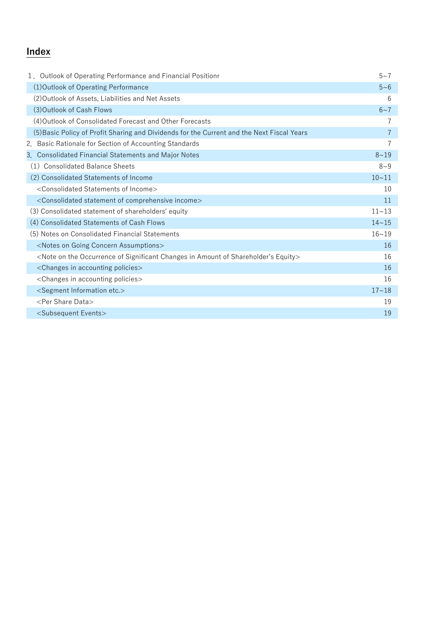# **Index**

| 1. Outlook of Operating Performance and Financial Positionr                                                         | $5 - 7$   |
|---------------------------------------------------------------------------------------------------------------------|-----------|
| (1) Outlook of Operating Performance                                                                                | $5 - 6$   |
| (2) Outlook of Assets, Liabilities and Net Assets                                                                   | 6         |
| (3) Outlook of Cash Flows                                                                                           | $6 - 7$   |
| (4) Outlook of Consolidated Forecast and Other Forecasts                                                            |           |
| (5) Basic Policy of Profit Sharing and Dividends for the Current and the Next Fiscal Years                          | 7         |
| 2. Basic Rationale for Section of Accounting Standards                                                              | 7         |
| 3. Consolidated Financial Statements and Major Notes                                                                | $8 - 19$  |
| <b>Consolidated Balance Sheets</b><br>(1)                                                                           | $8 - 9$   |
| (2) Consolidated Statements of Income                                                                               | $10 - 11$ |
| <consolidated income="" of="" statements=""></consolidated>                                                         | 10        |
| <consolidated comprehensive="" income="" of="" statement=""></consolidated>                                         | 11        |
| (3) Consolidated statement of shareholders' equity                                                                  | $11 - 13$ |
| (4) Consolidated Statements of Cash Flows                                                                           | $14 - 15$ |
| (5) Notes on Consolidated Financial Statements                                                                      | $16 - 19$ |
| <notes assumptions="" concern="" going="" on=""></notes>                                                            | 16        |
| <note amount="" changes="" equity="" in="" occurrence="" of="" on="" shareholder's="" significant="" the=""></note> | 16        |
| <changes accounting="" in="" policies=""></changes>                                                                 | 16        |
| <changes accounting="" in="" policies=""></changes>                                                                 | 16        |
| <segment etc.="" information=""></segment>                                                                          | $17 - 18$ |
| <per data="" share=""></per>                                                                                        | 19        |
| <subsequent events=""></subsequent>                                                                                 | 19        |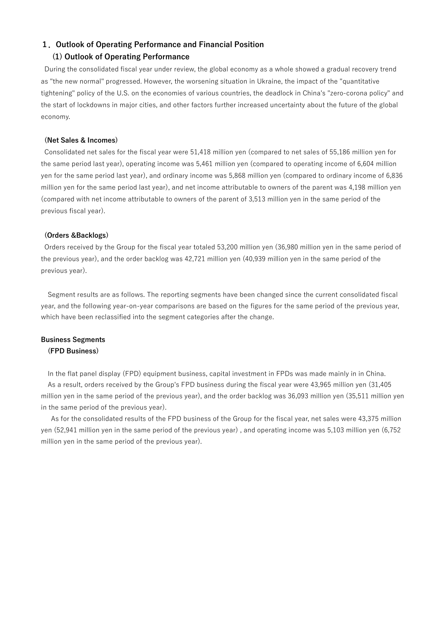# 1. Outlook of Operating Performance and Financial Position

# (1) Outlook of Operating Performance

During the consolidated fiscal year under review, the global economy as a whole showed a gradual recovery trend as "the new normal" progressed. However, the worsening situation in Ukraine, the impact of the "quantitative tightening" policy of the U.S. on the economies of various countries, the deadlock in China's "zero-corona policy" and the start of lockdowns in major cities, and other factors further increased uncertainty about the future of the global economy.

### (Net Sales & Incomes)

Consolidated net sales for the fiscal year were 51,418 million yen (compared to net sales of 55,186 million yen for the same period last year), operating income was 5,461 million yen (compared to operating income of 6,604 million yen for the same period last year), and ordinary income was 5,868 million yen (compared to ordinary income of 6,836 million yen for the same period last year), and net income attributable to owners of the parent was 4,198 million yen (compared with net income attributable to owners of the parent of 3,513 million yen in the same period of the previous fiscal year).

### (Orders &Backlogs)

Orders received by the Group for the fiscal year totaled 53,200 million yen (36,980 million yen in the same period of the previous year), and the order backlog was 42,721 million yen (40,939 million yen in the same period of the previous year).

Segment results are as follows. The reporting segments have been changed since the current consolidated fiscal year, and the following year-on-year comparisons are based on the figures for the same period of the previous year, which have been reclassified into the segment categories after the change.

# Business Segments (FPD Business)

In the flat panel display (FPD) equipment business, capital investment in FPDs was made mainly in in China. As a result, orders received by the Group's FPD business during the fiscal year were 43,965 million yen (31,405 million yen in the same period of the previous year), and the order backlog was 36,093 million yen (35,511 million yen in the same period of the previous year).

 As for the consolidated results of the FPD business of the Group for the fiscal year, net sales were 43,375 million yen (52,941 million yen in the same period of the previous year) , and operating income was 5,103 million yen (6,752 million yen in the same period of the previous year).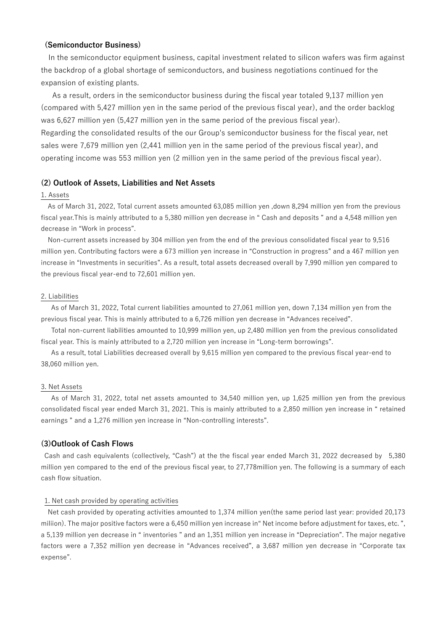# (Semiconductor Business)

In the semiconductor equipment business, capital investment related to silicon wafers was firm against the backdrop of a global shortage of semiconductors, and business negotiations continued for the expansion of existing plants.

 As a result, orders in the semiconductor business during the fiscal year totaled 9,137 million yen (compared with 5,427 million yen in the same period of the previous fiscal year), and the order backlog was 6,627 million yen (5,427 million yen in the same period of the previous fiscal year). Regarding the consolidated results of the our Group's semiconductor business for the fiscal year, net sales were 7,679 million yen (2,441 million yen in the same period of the previous fiscal year), and operating income was 553 million yen (2 million yen in the same period of the previous fiscal year).

## (2) Outlook of Assets, Liabilities and Net Assets

## 1. Assets

As of March 31, 2022, Total current assets amounted 63,085 million yen ,down 8,294 million yen from the previous fiscal year.This is mainly attributed to a 5,380 million yen decrease in " Cash and deposits " and a 4,548 million yen decrease in "Work in process".

Non-current assets increased by 304 million yen from the end of the previous consolidated fiscal year to 9,516 million yen. Contributing factors were a 673 million yen increase in "Construction in progress" and a 467 million yen increase in "Investments in securities". As a result, total assets decreased overall by 7,990 million yen compared to the previous fiscal year-end to 72,601 million yen.

## 2. Liabilities

As of March 31, 2022, Total current liabilities amounted to 27,061 million yen, down 7,134 million yen from the previous fiscal year. This is mainly attributed to a 6,726 million yen decrease in "Advances received".

Total non-current liabilities amounted to 10,999 million yen, up 2,480 million yen from the previous consolidated fiscal year. This is mainly attributed to a 2,720 million yen increase in "Long-term borrowings".

As a result, total Liabilities decreased overall by 9,615 million yen compared to the previous fiscal year-end to 38,060 million yen.

### 3. Net Assets

As of March 31, 2022, total net assets amounted to 34,540 million yen, up 1,625 million yen from the previous consolidated fiscal year ended March 31, 2021. This is mainly attributed to a 2,850 million yen increase in " retained earnings " and a 1,276 million yen increase in "Non-controlling interests".

## (3)Outlook of Cash Flows

Cash and cash equivalents (collectively, "Cash") at the the fiscal year ended March 31, 2022 decreased by 5,380 million yen compared to the end of the previous fiscal year, to 27,778million yen. The following is a summary of each cash flow situation.

## 1. Net cash provided by operating activities

Net cash provided by operating activities amounted to 1,374 million yen(the same period last year: provided 20,173 miliion). The major positive factors were a 6,450 million yen increase in" Net income before adjustment for taxes, etc. ", a 5,139 million yen decrease in " inventories " and an 1,351 million yen increase in "Depreciation". The major negative factors were a 7,352 million yen decrease in "Advances received", a 3,687 million yen decrease in "Corporate tax expense".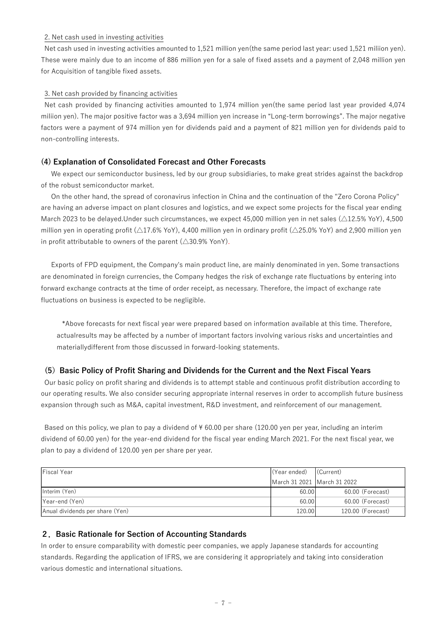# 2. Net cash used in investing activities

Net cash used in investing activities amounted to 1,521 million yen(the same period last year: used 1,521 miliion yen). These were mainly due to an income of 886 million yen for a sale of fixed assets and a payment of 2,048 million yen for Acquisition of tangible fixed assets.

# 3. Net cash provided by financing activities

Net cash provided by financing activities amounted to 1,974 million yen(the same period last year provided 4,074 miliion yen). The major positive factor was a 3,694 million yen increase in "Long-term borrowings". The major negative factors were a payment of 974 million yen for dividends paid and a payment of 821 million yen for dividends paid to non-controlling interests.

# (4) Explanation of Consolidated Forecast and Other Forecasts

We expect our semiconductor business, led by our group subsidiaries, to make great strides against the backdrop of the robust semiconductor market.

On the other hand, the spread of coronavirus infection in China and the continuation of the "Zero Corona Policy" are having an adverse impact on plant closures and logistics, and we expect some projects for the fiscal year ending March 2023 to be delayed.Under such circumstances, we expect 45,000 million yen in net sales (△12.5% YoY), 4,500 million yen in operating profit ( $\triangle 17.6\%$  YoY), 4,400 million yen in ordinary profit ( $\triangle 25.0\%$  YoY) and 2,900 million yen in profit attributable to owners of the parent  $(\triangle 30.9\%$  YonY).

Exports of FPD equipment, the Company's main product line, are mainly denominated in yen. Some transactions are denominated in foreign currencies, the Company hedges the risk of exchange rate fluctuations by entering into forward exchange contracts at the time of order receipt, as necessary. Therefore, the impact of exchange rate fluctuations on business is expected to be negligible.

# (5) Basic Policy of Profit Sharing and Dividends for the Current and the Next Fiscal Years

| forward exchange contracts at the time of order receipt, as necessary. Therefore, the impact of exchange rate         |               |                   |
|-----------------------------------------------------------------------------------------------------------------------|---------------|-------------------|
| fluctuations on business is expected to be negligible.                                                                |               |                   |
| *Above forecasts for next fiscal year were prepared based on information available at this time. Therefore,           |               |                   |
| actualresults may be affected by a number of important factors involving various risks and uncertainties and          |               |                   |
| materially different from those discussed in forward-looking statements.                                              |               |                   |
| Basic Policy of Profit Sharing and Dividends for the Current and the Next Fiscal Years<br>(5)                         |               |                   |
| Our basic policy on profit sharing and dividends is to attempt stable and continuous profit distribution according to |               |                   |
| our operating results. We also consider securing appropriate internal reserves in order to accomplish future business |               |                   |
| expansion through such as M&A, capital investment, R&D investment, and reinforcement of our management.               |               |                   |
|                                                                                                                       |               |                   |
| Based on this policy, we plan to pay a dividend of ¥60.00 per share (120.00 yen per year, including an interim        |               |                   |
| dividend of 60.00 yen) for the year-end dividend for the fiscal year ending March 2021. For the next fiscal year, we  |               |                   |
| plan to pay a dividend of 120.00 yen per share per year.                                                              |               |                   |
|                                                                                                                       |               |                   |
| <b>Fiscal Year</b>                                                                                                    | (Year ended)  | (Current)         |
|                                                                                                                       | March 31 2021 | March 31 2022     |
| Interim (Yen)                                                                                                         | 60.00         | 60.00 (Forecast)  |
| Year-end (Yen)                                                                                                        | 60.00         | 60.00 (Forecast)  |
| Anual dividends per share (Yen)                                                                                       | 120.00        | 120.00 (Forecast) |
|                                                                                                                       |               |                   |
| 2. Basic Rationale for Section of Accounting Standards                                                                |               |                   |
| In order to ensure comparability with domestic peer companies, we apply Japanese standards for accounting             |               |                   |
| standards. Regarding the application of IFRS, we are considering it appropriately and taking into consideration       |               |                   |
| various domestic and international situations.                                                                        |               |                   |

# 2.Basic Rationale for Section of Accounting Standards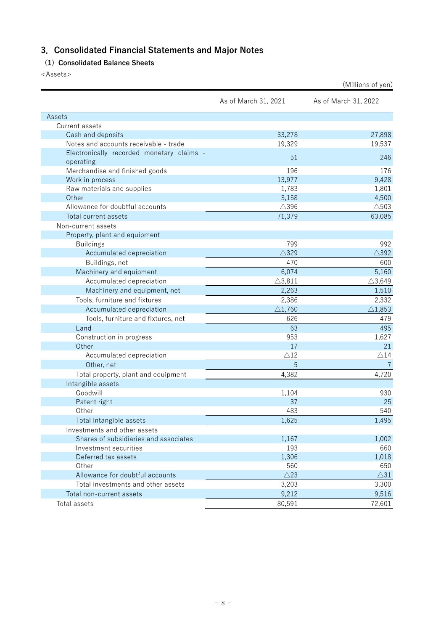# 3.Consolidated Financial Statements and Major Notes

# (1) Consolidated Balance Sheets

<Assets>

|                                                        |                      | (Millions of yen)    |
|--------------------------------------------------------|----------------------|----------------------|
|                                                        | As of March 31, 2021 | As of March 31, 2022 |
| Assets                                                 |                      |                      |
| Current assets                                         |                      |                      |
| Cash and deposits                                      | 33,278               | 27,898               |
| Notes and accounts receivable - trade                  | 19,329               | 19,537               |
| Electronically recorded monetary claims -<br>operating | 51                   | 246                  |
| Merchandise and finished goods                         | 196                  | 176                  |
| Work in process                                        | 13,977               | 9,428                |
| Raw materials and supplies                             | 1,783                | 1,801                |
| Other                                                  | 3,158                | 4,500                |
| Allowance for doubtful accounts                        | $\triangle$ 396      | $\triangle$ 503      |
| Total current assets                                   | 71,379               | 63,085               |
| Non-current assets                                     |                      |                      |
| Property, plant and equipment                          |                      |                      |
| <b>Buildings</b>                                       | 799                  | 992                  |
| Accumulated depreciation                               | $\triangle$ 329      | $\triangle$ 392      |
| Buildings, net                                         | 470                  | 600                  |
| Machinery and equipment                                | 6,074                | 5,160                |
| Accumulated depreciation                               | $\triangle$ 3,811    | $\triangle$ 3,649    |
| Machinery and equipment, net                           | 2,263                | 1,510                |
| Tools, furniture and fixtures                          | 2,386                | 2,332                |
| Accumulated depreciation                               | $\triangle$ 1,760    | $\triangle$ 1,853    |
| Tools, furniture and fixtures, net                     | 626                  | 479                  |
| Land                                                   | 63                   | 495                  |
| Construction in progress                               | 953                  | 1,627                |
| Other                                                  | 17                   | 21                   |
| Accumulated depreciation                               | $\triangle$ 12       | $\triangle$ 14       |
| Other, net                                             | 5                    | $\overline{7}$       |
| Total property, plant and equipment                    | 4,382                | 4,720                |
| Intangible assets                                      |                      |                      |
| Goodwill                                               | 1,104                | 930                  |
| Patent right                                           | 37                   | 25                   |
| Other                                                  | 483                  | 540                  |
| Total intangible assets                                | 1,625                | 1,495                |
| Investments and other assets                           |                      |                      |
| Shares of subsidiaries and associates                  | 1,167                | 1,002                |
| Investment securities                                  | 193                  | 660                  |
| Deferred tax assets                                    | 1,306                | 1,018                |
| Other                                                  | 560                  | 650                  |
| Allowance for doubtful accounts                        | $\triangle$ 23       | $\triangle31$        |
| Total investments and other assets                     | 3,203                | 3,300                |
| Total non-current assets                               | 9,212                | 9,516                |
| Total assets                                           | 80,591               | 72,601               |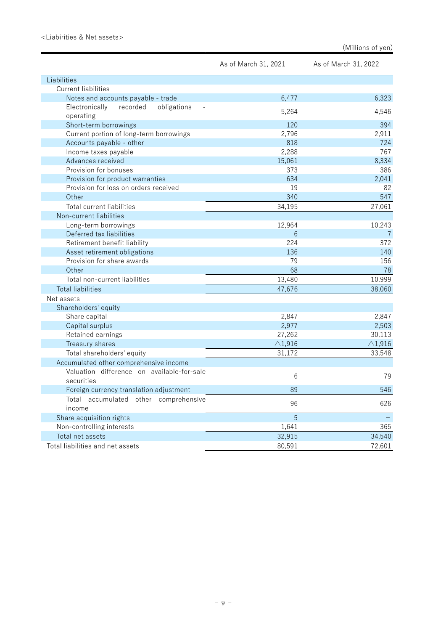|                                                          | As of March 31, 2021 | As of March 31, 2022 |
|----------------------------------------------------------|----------------------|----------------------|
| Liabilities                                              |                      |                      |
| <b>Current liabilities</b>                               |                      |                      |
| Notes and accounts payable - trade                       | 6,477                | 6,323                |
| recorded<br>obligations<br>Electronically                |                      |                      |
| operating                                                | 5,264                | 4,546                |
| Short-term borrowings                                    | 120                  | 394                  |
| Current portion of long-term borrowings                  | 2,796                | 2,911                |
| Accounts payable - other                                 | 818                  | 724                  |
| Income taxes payable                                     | 2,288                | 767                  |
| Advances received                                        | 15,061               | 8,334                |
| Provision for bonuses                                    | 373                  | 386                  |
| Provision for product warranties                         | 634                  | 2,041                |
| Provision for loss on orders received                    | 19                   | 82                   |
| Other                                                    | 340                  | 547                  |
| Total current liabilities                                | 34,195               | 27,061               |
| Non-current liabilities                                  |                      |                      |
| Long-term borrowings                                     | 12,964               | 10,243               |
| Deferred tax liabilities                                 | 6                    | $\overline{7}$       |
| Retirement benefit liability                             | 224                  | 372                  |
| Asset retirement obligations                             | 136                  | 140                  |
| Provision for share awards                               | 79                   | 156                  |
| Other                                                    | 68                   | 78                   |
| Total non-current liabilities                            | 13,480               | 10,999               |
| <b>Total liabilities</b>                                 | 47,676               | 38,060               |
| Net assets                                               |                      |                      |
| Shareholders' equity                                     |                      |                      |
| Share capital                                            | 2,847                | 2,847                |
| Capital surplus                                          | 2,977                | 2,503                |
| Retained earnings                                        | 27,262               | 30,113               |
| Treasury shares                                          | $\triangle$ 1,916    | $\triangle$ 1,916    |
| Total shareholders' equity                               | 31,172               | 33,548               |
| Accumulated other comprehensive income                   |                      |                      |
| Valuation difference on available-for-sale<br>securities | 6                    | 79                   |
| Foreign currency translation adjustment                  | 89                   | 546                  |
| Total accumulated other comprehensive<br>income          | 96                   | 626                  |
| Share acquisition rights                                 | 5                    |                      |
| Non-controlling interests                                | 1,641                | 365                  |
| Total net assets                                         | 32,915               | 34,540               |
| Total liabilities and net assets                         | 80,591               | 72,601               |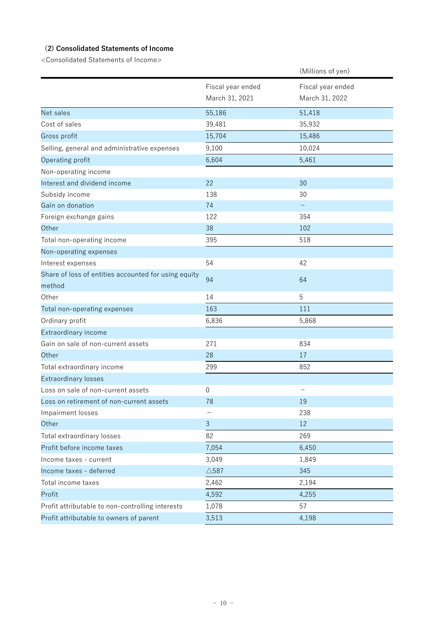# (2) Consolidated Statements of Income

<Consolidated Statements of Income>

|                                                                |                                     | (Millions of yen)                   |
|----------------------------------------------------------------|-------------------------------------|-------------------------------------|
|                                                                | Fiscal year ended<br>March 31, 2021 | Fiscal year ended<br>March 31, 2022 |
| Net sales                                                      | 55,186                              | 51,418                              |
| Cost of sales                                                  | 39,481                              | 35,932                              |
| Gross profit                                                   | 15,704                              | 15,486                              |
| Selling, general and administrative expenses                   | 9,100                               | 10,024                              |
| Operating profit                                               | 6,604                               | 5,461                               |
| Non-operating income                                           |                                     |                                     |
| Interest and dividend income                                   | 22                                  | 30                                  |
| Subsidy income                                                 | 138                                 | 30                                  |
| Gain on donation                                               | 74                                  |                                     |
| Foreign exchange gains                                         | 122                                 | 354                                 |
| Other                                                          | 38                                  | 102                                 |
| Total non-operating income                                     | 395                                 | 518                                 |
| Non-operating expenses                                         |                                     |                                     |
| Interest expenses                                              | 54                                  | 42                                  |
| Share of loss of entities accounted for using equity<br>method | 94                                  | 64                                  |
| Other                                                          | 14                                  | 5                                   |
| Total non-operating expenses                                   | 163                                 | 111                                 |
| Ordinary profit                                                | 6,836                               | 5,868                               |
| Extraordinary income                                           |                                     |                                     |
| Gain on sale of non-current assets                             | 271                                 | 834                                 |
| Other                                                          | 28                                  | 17                                  |
| Total extraordinary income                                     | 299                                 | 852                                 |
| <b>Extraordinary losses</b>                                    |                                     |                                     |
| Loss on sale of non-current assets                             | 0                                   |                                     |
| Loss on retirement of non-current assets                       | 78                                  | 19                                  |
| Impairment losses                                              |                                     | 238                                 |
| Other                                                          | $\mathbf{3}$                        | 12                                  |
| Total extraordinary losses                                     | 82                                  | 269                                 |
| Profit before income taxes                                     | 7,054                               | 6,450                               |
| Income taxes - current                                         | 3,049                               | 1,849                               |
| Income taxes - deferred                                        | $\triangle$ 587                     | 345                                 |
| Total income taxes                                             | 2,462                               | 2,194                               |
| Profit                                                         | 4,592                               | 4,255                               |
| Profit attributable to non-controlling interests               | 1,078                               | 57                                  |
| Profit attributable to owners of parent                        | 3,513                               | 4,198                               |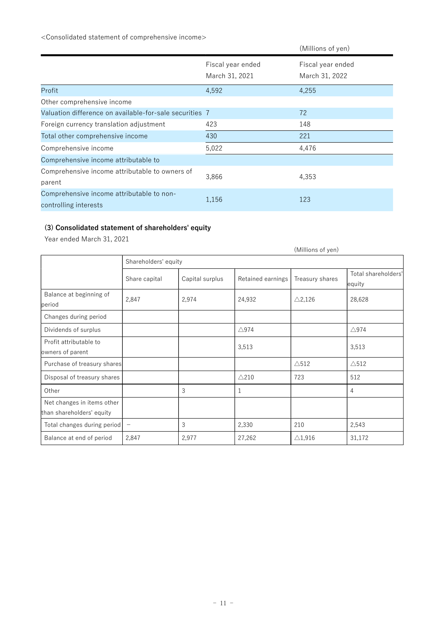<Consolidated statement of comprehensive income>

|                                                                    |                                     | (Millions of yen)                   |
|--------------------------------------------------------------------|-------------------------------------|-------------------------------------|
|                                                                    | Fiscal year ended<br>March 31, 2021 | Fiscal year ended<br>March 31, 2022 |
| Profit                                                             | 4,592                               | 4,255                               |
| Other comprehensive income                                         |                                     |                                     |
| Valuation difference on available-for-sale securities 7            |                                     | 72                                  |
| Foreign currency translation adjustment                            | 423                                 | 148                                 |
| Total other comprehensive income                                   | 430                                 | 221                                 |
| Comprehensive income                                               | 5,022                               | 4,476                               |
| Comprehensive income attributable to                               |                                     |                                     |
| Comprehensive income attributable to owners of<br>parent           | 3,866                               | 4,353                               |
| Comprehensive income attributable to non-<br>controlling interests | 1,156                               | 123                                 |

# (3) Consolidated statement of shareholders' equity

Year ended March 31, 2021

|                                                         |                      |                 |                   | (Millions of yen) |                               |
|---------------------------------------------------------|----------------------|-----------------|-------------------|-------------------|-------------------------------|
|                                                         | Shareholders' equity |                 |                   |                   |                               |
|                                                         | Share capital        | Capital surplus | Retained earnings | Treasury shares   | Total shareholders'<br>equity |
| Balance at beginning of<br>period                       | 2,847                | 2,974           | 24,932            | $\triangle$ 2,126 | 28,628                        |
| Changes during period                                   |                      |                 |                   |                   |                               |
| Dividends of surplus                                    |                      |                 | $\triangle$ 974   |                   | $\triangle$ 974               |
| Profit attributable to<br>owners of parent              |                      |                 | 3,513             |                   | 3,513                         |
| Purchase of treasury shares                             |                      |                 |                   | $\triangle$ 512   | $\triangle$ 512               |
| Disposal of treasury shares                             |                      |                 | $\triangle$ 210   | 723               | 512                           |
| Other                                                   |                      | 3               | 1                 |                   | 4                             |
| Net changes in items other<br>than shareholders' equity |                      |                 |                   |                   |                               |
| Total changes during period                             | $\qquad \qquad -$    | 3               | 2,330             | 210               | 2,543                         |
| Balance at end of period                                | 2,847                | 2,977           | 27,262            | $\triangle$ 1,916 | 31,172                        |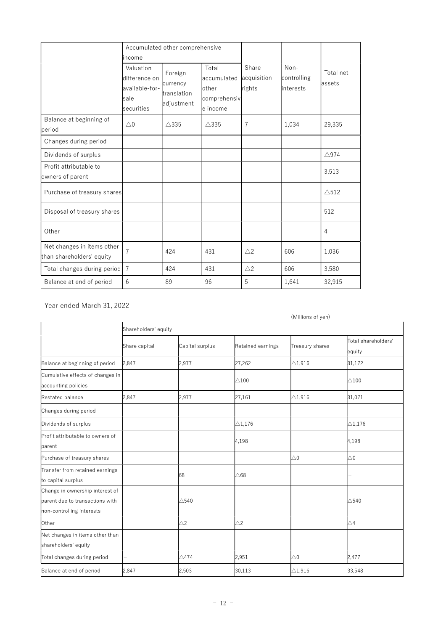|                                                         |                                                                              | Accumulated other comprehensive                  |                                                           |                                |                                   |                     |
|---------------------------------------------------------|------------------------------------------------------------------------------|--------------------------------------------------|-----------------------------------------------------------|--------------------------------|-----------------------------------|---------------------|
|                                                         | income<br>Valuation<br>difference on<br>available-for-<br>sale<br>securities | Foreign<br>currency<br>translation<br>adjustment | Total<br>accumulated<br>other<br>comprehensiv<br>e income | Share<br>acquisition<br>rights | Non-<br>controlling<br>linterests | Total net<br>assets |
| Balance at beginning of<br>period                       | $\triangle$ 0                                                                | $\triangle$ 335                                  | $\triangle$ 335                                           | 7                              | 1,034                             | 29,335              |
| Changes during period                                   |                                                                              |                                                  |                                                           |                                |                                   |                     |
| Dividends of surplus                                    |                                                                              |                                                  |                                                           |                                |                                   | $\triangle$ 974     |
| Profit attributable to<br>owners of parent              |                                                                              |                                                  |                                                           |                                |                                   | 3,513               |
| Purchase of treasury shares                             |                                                                              |                                                  |                                                           |                                |                                   | $\triangle$ 512     |
| Disposal of treasury shares                             |                                                                              |                                                  |                                                           |                                |                                   | 512                 |
| Other                                                   |                                                                              |                                                  |                                                           |                                |                                   | 4                   |
| Net changes in items other<br>than shareholders' equity | $\overline{7}$                                                               | 424                                              | 431                                                       | $\triangle$ 2                  | 606                               | 1,036               |
| Total changes during period                             | $\overline{7}$                                                               | 424                                              | 431                                                       | $\triangle$ 2                  | 606                               | 3,580               |
| Balance at end of period                                | 6                                                                            | 89                                               | 96                                                        | 5                              | 1,641                             | 32,915              |

Year ended March 31, 2022

|                                                                                                 |                      |                 |                   | (Millions of yen) |                               |
|-------------------------------------------------------------------------------------------------|----------------------|-----------------|-------------------|-------------------|-------------------------------|
|                                                                                                 | Shareholders' equity |                 |                   |                   |                               |
|                                                                                                 | Share capital        | Capital surplus | Retained earnings | Treasury shares   | Total shareholders'<br>equity |
| Balance at beginning of period                                                                  | 2,847                | 2.977           | 27,262            | $\triangle$ 1.916 | 31,172                        |
| Cumulative effects of changes in<br>accounting policies                                         |                      |                 | $\triangle$ 100   |                   | $\triangle$ 100               |
| Restated balance                                                                                | 2,847                | 2,977           | 27,161            | $\triangle$ 1,916 | 31,071                        |
| Changes during period                                                                           |                      |                 |                   |                   |                               |
| Dividends of surplus                                                                            |                      |                 | $\triangle$ 1,176 |                   | $\triangle$ 1,176             |
| Profit attributable to owners of<br>parent                                                      |                      |                 | 4,198             |                   | 4,198                         |
| Purchase of treasury shares                                                                     |                      |                 |                   | $\triangle$ 0     | $\triangle 0$                 |
| Transfer from retained earnings<br>to capital surplus                                           |                      | 68              | $\triangle$ 68    |                   |                               |
| Change in ownership interest of<br>parent due to transactions with<br>non-controlling interests |                      | $\triangle$ 540 |                   |                   | $\triangle$ 540               |
| Other                                                                                           |                      | $\triangle$ 2   | $\triangle$ 2     |                   | $\triangle 4$                 |
| Net changes in items other than<br>shareholders' equity                                         |                      |                 |                   |                   |                               |
| Total changes during period                                                                     |                      | $\triangle$ 474 | 2,951             | $\triangle$ 0     | 2,477                         |
| Balance at end of period                                                                        | 2,847                | 2,503           | 30,113            | $\triangle$ 1,916 | 33,548                        |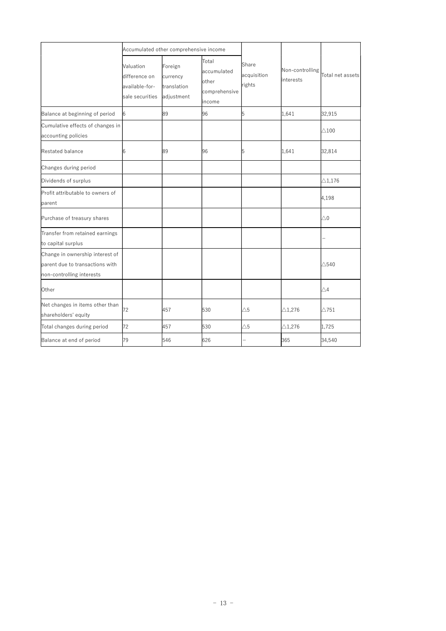|                                                                                                 |                                                                 | Accumulated other comprehensive income           |                                                          |                                |                              |                   |
|-------------------------------------------------------------------------------------------------|-----------------------------------------------------------------|--------------------------------------------------|----------------------------------------------------------|--------------------------------|------------------------------|-------------------|
|                                                                                                 | Valuation<br>difference on<br>available-for-<br>sale securities | Foreign<br>currency<br>translation<br>adjustment | Total<br>accumulated<br>other<br>comprehensive<br>income | Share<br>acquisition<br>rights | Non-controlling<br>interests | Total net assets  |
| Balance at beginning of period                                                                  | 6                                                               | 89                                               | 96                                                       | 5                              | 1,641                        | 32,915            |
| Cumulative effects of changes in<br>accounting policies                                         |                                                                 |                                                  |                                                          |                                |                              | $\triangle$ 100   |
| Restated balance                                                                                | 6                                                               | 89                                               | 96                                                       | 5                              | 1,641                        | 32,814            |
| Changes during period                                                                           |                                                                 |                                                  |                                                          |                                |                              |                   |
| Dividends of surplus                                                                            |                                                                 |                                                  |                                                          |                                |                              | $\triangle$ 1,176 |
| Profit attributable to owners of<br>parent                                                      |                                                                 |                                                  |                                                          |                                |                              | 4,198             |
| Purchase of treasury shares                                                                     |                                                                 |                                                  |                                                          |                                |                              | $\triangle 0$     |
| Transfer from retained earnings<br>to capital surplus                                           |                                                                 |                                                  |                                                          |                                |                              |                   |
| Change in ownership interest of<br>parent due to transactions with<br>non-controlling interests |                                                                 |                                                  |                                                          |                                |                              | $\triangle$ 540   |
| Other                                                                                           |                                                                 |                                                  |                                                          |                                |                              | $\triangle 4$     |
| Net changes in items other than<br>shareholders' equity                                         | 72                                                              | 457                                              | 530                                                      | $\triangle 5$                  | $\triangle$ 1,276            | $\triangle$ 751   |
| Total changes during period                                                                     | 72                                                              | 457                                              | 530                                                      | $\triangle 5$                  | $\triangle$ 1,276            | 1,725             |
| Balance at end of period                                                                        | 79                                                              | 546                                              | 626                                                      |                                | 365                          | 34,540            |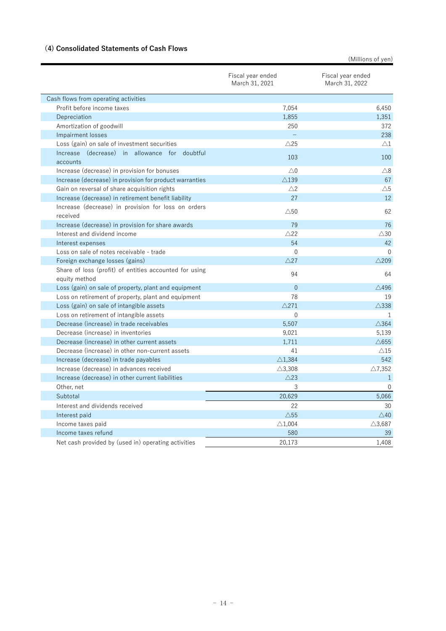# (4) Consolidated Statements of Cash Flows

(Millions of yen)

|                                                                         | Fiscal year ended<br>March 31, 2021 | Fiscal year ended<br>March 31, 2022 |
|-------------------------------------------------------------------------|-------------------------------------|-------------------------------------|
| Cash flows from operating activities                                    |                                     |                                     |
| Profit before income taxes                                              | 7,054                               | 6,450                               |
| Depreciation                                                            | 1,855                               | 1,351                               |
| Amortization of goodwill                                                | 250                                 | 372                                 |
| <b>Impairment losses</b>                                                |                                     | 238                                 |
| Loss (gain) on sale of investment securities                            | $\triangle$ 25                      | $\triangle$ 1                       |
| Increase (decrease) in allowance for doubtful                           | 103                                 |                                     |
| accounts                                                                |                                     | 100                                 |
| Increase (decrease) in provision for bonuses                            | $\triangle$ 0                       | $\triangle$ 8                       |
| Increase (decrease) in provision for product warranties                 | $\triangle$ 139                     | 67                                  |
| Gain on reversal of share acquisition rights                            | $\triangle$ 2                       | $\triangle 5$                       |
| Increase (decrease) in retirement benefit liability                     | 27                                  | 12                                  |
| Increase (decrease) in provision for loss on orders<br>received         | $\triangle$ 50                      | 62                                  |
| Increase (decrease) in provision for share awards                       | 79                                  | 76                                  |
| Interest and dividend income                                            | $\triangle$ 22                      | $\triangle$ 30                      |
| Interest expenses                                                       | 54                                  | 42                                  |
| Loss on sale of notes receivable - trade                                | $\Omega$                            | $\Omega$                            |
| Foreign exchange losses (gains)                                         | $\triangle$ 27                      | $\triangle$ 209                     |
| Share of loss (profit) of entities accounted for using<br>equity method | 94                                  | 64                                  |
| Loss (gain) on sale of property, plant and equipment                    | $\Omega$                            | $\triangle$ 496                     |
| Loss on retirement of property, plant and equipment                     | 78                                  | 19                                  |
| Loss (gain) on sale of intangible assets                                | $\triangle$ 271                     | $\triangle$ 338                     |
| Loss on retirement of intangible assets                                 | $\mathbf{0}$                        | 1                                   |
| Decrease (increase) in trade receivables                                | 5,507                               | $\triangle$ 364                     |
| Decrease (increase) in inventories                                      | 9,021                               | 5,139                               |
| Decrease (increase) in other current assets                             | 1,711                               | $\triangle$ 655                     |
| Decrease (increase) in other non-current assets                         | 41                                  | $\triangle$ 15                      |
| Increase (decrease) in trade payables                                   | $\triangle$ 1,384                   | 542                                 |
| Increase (decrease) in advances received                                | $\triangle$ 3,308                   | $\triangle$ 7,352                   |
| Increase (decrease) in other current liabilities                        | $\triangle$ 23                      | $\mathbf{1}$                        |
| Other, net                                                              | 3                                   | $\Omega$                            |
| Subtotal                                                                | 20,629                              | 5,066                               |
| Interest and dividends received                                         | 22                                  | 30                                  |
| Interest paid                                                           | $\triangle$ 55                      | $\triangle$ 40                      |
| Income taxes paid                                                       | $\triangle$ 1,004                   | $\triangle$ 3,687                   |
| Income taxes refund                                                     | 580                                 | 39                                  |
| Net cash provided by (used in) operating activities                     | 20.173                              | 1.408                               |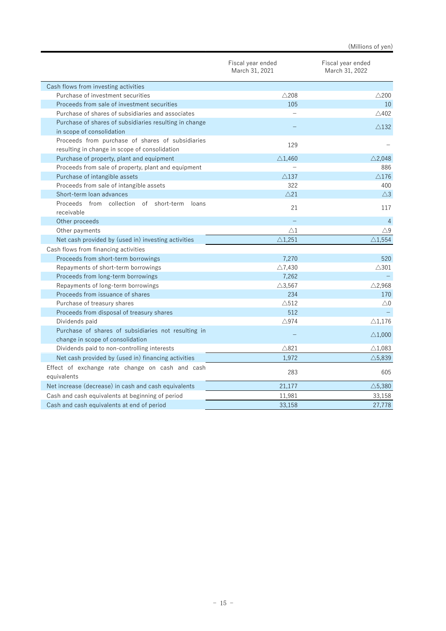|                                                                                                   |                                     | (ivililions of yen <i>)</i>         |
|---------------------------------------------------------------------------------------------------|-------------------------------------|-------------------------------------|
|                                                                                                   | Fiscal year ended<br>March 31, 2021 | Fiscal year ended<br>March 31, 2022 |
| Cash flows from investing activities                                                              |                                     |                                     |
| Purchase of investment securities                                                                 | $\triangle$ 208                     | $\triangle$ 200                     |
| Proceeds from sale of investment securities                                                       | 105                                 | 10                                  |
| Purchase of shares of subsidiaries and associates                                                 |                                     | $\triangle$ 402                     |
| Purchase of shares of subsidiaries resulting in change                                            |                                     |                                     |
| in scope of consolidation                                                                         |                                     | $\triangle$ 132                     |
| Proceeds from purchase of shares of subsidiaries<br>resulting in change in scope of consolidation | 129                                 |                                     |
| Purchase of property, plant and equipment                                                         | $\triangle$ 1.460                   | $\triangle$ 2.048                   |
| Proceeds from sale of property, plant and equipment                                               |                                     | 886                                 |
| Purchase of intangible assets                                                                     | $\triangle$ 137                     | $\triangle$ 176                     |
| Proceeds from sale of intangible assets                                                           | 322                                 | 400                                 |
| Short-term loan advances                                                                          | $\triangle$ 21                      | $\triangle$ 3                       |
| Proceeds from collection of short-term<br>loans<br>receivable                                     | 21                                  | 117                                 |
| Other proceeds                                                                                    |                                     | $\overline{4}$                      |
| Other payments                                                                                    | $\triangle 1$                       | $\triangle$ 9                       |
| Net cash provided by (used in) investing activities                                               | $\triangle$ 1,251                   | $\triangle$ 1,554                   |
| Cash flows from financing activities                                                              |                                     |                                     |
| Proceeds from short-term borrowings                                                               | 7.270                               | 520                                 |
| Repayments of short-term borrowings                                                               | $\triangle$ 7,430                   | $\triangle 301$                     |
| Proceeds from long-term borrowings                                                                | 7,262                               |                                     |
| Repayments of long-term borrowings                                                                | $\triangle$ 3,567                   | $\triangle$ 2,968                   |
| Proceeds from issuance of shares                                                                  | 234                                 | 170                                 |
| Purchase of treasury shares                                                                       | $\triangle$ 512                     | $\triangle 0$                       |
| Proceeds from disposal of treasury shares                                                         | 512                                 |                                     |
| Dividends paid                                                                                    | $\triangle$ 974                     | $\triangle$ 1,176                   |
| Purchase of shares of subsidiaries not resulting in                                               |                                     | $\triangle$ 1,000                   |
| change in scope of consolidation                                                                  |                                     |                                     |
| Dividends paid to non-controlling interests                                                       | $\triangle 821$                     | $\triangle$ 1,083                   |
| Net cash provided by (used in) financing activities                                               | 1,972                               | $\triangle$ 5,839                   |
| Effect of exchange rate change on cash and cash<br>equivalents                                    | 283                                 | 605                                 |
| Net increase (decrease) in cash and cash equivalents                                              | 21,177                              | $\triangle$ 5,380                   |
| Cash and cash equivalents at beginning of period                                                  | 11,981                              | 33,158                              |
| Cash and cash equivalents at end of period                                                        | 33,158                              | 27,778                              |
|                                                                                                   |                                     |                                     |

# (Millions of yen)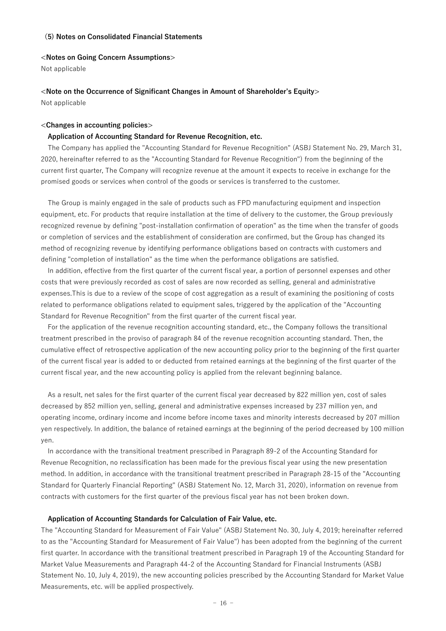### (5) Notes on Consolidated Financial Statements

#### <Notes on Going Concern Assumptions>

Not applicable

# <Note on the Occurrence of Significant Changes in Amount of Shareholder's Equity>

Not applicable

#### <Changes in accounting policies>

### Application of Accounting Standard for Revenue Recognition, etc.

The Company has applied the "Accounting Standard for Revenue Recognition" (ASBJ Statement No. 29, March 31, 2020, hereinafter referred to as the "Accounting Standard for Revenue Recognition") from the beginning of the current first quarter, The Company will recognize revenue at the amount it expects to receive in exchange for the promised goods or services when control of the goods or services is transferred to the customer.

The Group is mainly engaged in the sale of products such as FPD manufacturing equipment and inspection equipment, etc. For products that require installation at the time of delivery to the customer, the Group previously recognized revenue by defining "post-installation confirmation of operation" as the time when the transfer of goods or completion of services and the establishment of consideration are confirmed, but the Group has changed its method of recognizing revenue by identifying performance obligations based on contracts with customers and defining "completion of installation" as the time when the performance obligations are satisfied.

In addition, effective from the first quarter of the current fiscal year, a portion of personnel expenses and other costs that were previously recorded as cost of sales are now recorded as selling, general and administrative expenses.This is due to a review of the scope of cost aggregation as a result of examining the positioning of costs related to performance obligations related to equipment sales, triggered by the application of the "Accounting Standard for Revenue Recognition" from the first quarter of the current fiscal year.

For the application of the revenue recognition accounting standard, etc., the Company follows the transitional treatment prescribed in the proviso of paragraph 84 of the revenue recognition accounting standard. Then, the cumulative effect of retrospective application of the new accounting policy prior to the beginning of the first quarter of the current fiscal year is added to or deducted from retained earnings at the beginning of the first quarter of the current fiscal year, and the new accounting policy is applied from the relevant beginning balance.

As a result, net sales for the first quarter of the current fiscal year decreased by 822 million yen, cost of sales decreased by 852 million yen, selling, general and administrative expenses increased by 237 million yen, and operating income, ordinary income and income before income taxes and minority interests decreased by 207 million yen respectively. In addition, the balance of retained earnings at the beginning of the period decreased by 100 million yen.

In accordance with the transitional treatment prescribed in Paragraph 89-2 of the Accounting Standard for Revenue Recognition, no reclassification has been made for the previous fiscal year using the new presentation method. In addition, in accordance with the transitional treatment prescribed in Paragraph 28-15 of the "Accounting Standard for Quarterly Financial Reporting" (ASBJ Statement No. 12, March 31, 2020), information on revenue from contracts with customers for the first quarter of the previous fiscal year has not been broken down.

#### Application of Accounting Standards for Calculation of Fair Value, etc.

The "Accounting Standard for Measurement of Fair Value" (ASBJ Statement No. 30, July 4, 2019; hereinafter referred to as the "Accounting Standard for Measurement of Fair Value") has been adopted from the beginning of the current first quarter. In accordance with the transitional treatment prescribed in Paragraph 19 of the Accounting Standard for Market Value Measurements and Paragraph 44-2 of the Accounting Standard for Financial Instruments (ASBJ Statement No. 10, July 4, 2019), the new accounting policies prescribed by the Accounting Standard for Market Value Measurements, etc. will be applied prospectively.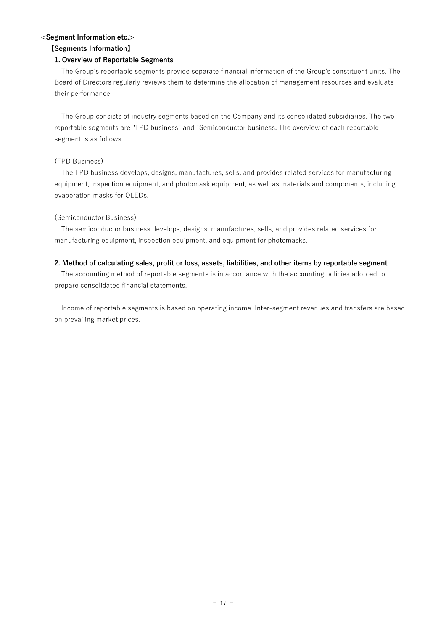# <Segment Information etc.>

# 【Segments Information】

# 1. Overview of Reportable Segments

 The Group's reportable segments provide separate financial information of the Group's constituent units. The Board of Directors regularly reviews them to determine the allocation of management resources and evaluate their performance.

 The Group consists of industry segments based on the Company and its consolidated subsidiaries. The two reportable segments are "FPD business" and "Semiconductor business. The overview of each reportable segment is as follows.

# (FPD Business)

 The FPD business develops, designs, manufactures, sells, and provides related services for manufacturing equipment, inspection equipment, and photomask equipment, as well as materials and components, including evaporation masks for OLEDs.

# (Semiconductor Business)

 The semiconductor business develops, designs, manufactures, sells, and provides related services for manufacturing equipment, inspection equipment, and equipment for photomasks.

# 2. Method of calculating sales, profit or loss, assets, liabilities, and other items by reportable segment

 The accounting method of reportable segments is in accordance with the accounting policies adopted to prepare consolidated financial statements.

 Income of reportable segments is based on operating income. Inter-segment revenues and transfers are based on prevailing market prices.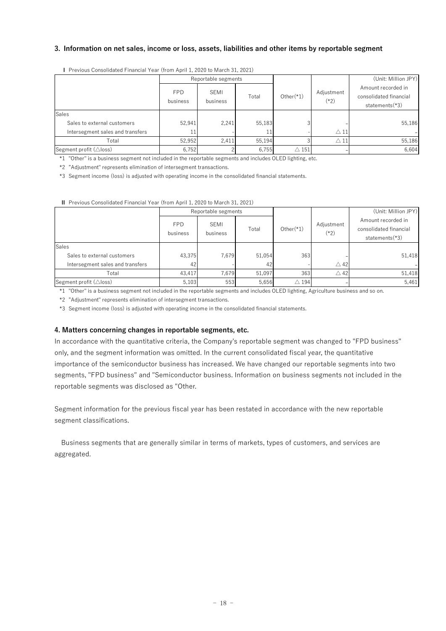# 3. Information on net sales, income or loss, assets, liabilities and other items by reportable segment

| 3. Information on net sales, income or loss, assets, liabilities and other items by reportable segment                                                                       |                        |                         |                 |                        |                      |                                              |
|------------------------------------------------------------------------------------------------------------------------------------------------------------------------------|------------------------|-------------------------|-----------------|------------------------|----------------------|----------------------------------------------|
|                                                                                                                                                                              |                        |                         |                 |                        |                      |                                              |
| I Previous Consolidated Financial Year (from April 1, 2020 to March 31, 2021)                                                                                                |                        |                         |                 |                        |                      |                                              |
|                                                                                                                                                                              |                        | Reportable segments     |                 |                        |                      | (Unit: Million JPY)                          |
|                                                                                                                                                                              | <b>FPD</b>             | SEMI                    |                 |                        | Adjustment           | Amount recorded in                           |
|                                                                                                                                                                              | business               | business                | Total           | Other $(*1)$           | $(*2)$               | consolidated financial<br>statements(*3)     |
| Sales                                                                                                                                                                        |                        |                         |                 |                        |                      |                                              |
| Sales to external customers                                                                                                                                                  | 52,941                 | 2,241                   | 55,183          |                        |                      | 55,186                                       |
| Intersegment sales and transfers                                                                                                                                             | 11<br>52,952           |                         | 11              | 3                      | $\triangle$ 11       |                                              |
| Total<br>Segment profit (Aloss)                                                                                                                                              | 6,752                  | 2,411                   | 55,194<br>6,755 | $\triangle$ 151        | $\triangle$ 11       | 55,186<br>6,604                              |
| *1 "Other" is a business segment not included in the reportable segments and includes OLED lighting, etc.                                                                    |                        |                         |                 |                        |                      |                                              |
|                                                                                                                                                                              |                        |                         |                 |                        |                      |                                              |
|                                                                                                                                                                              |                        |                         |                 |                        |                      |                                              |
| *2 "Adjustment" represents elimination of intersegment transactions.<br>*3 Segment income (loss) is adjusted with operating income in the consolidated financial statements. |                        |                         |                 |                        |                      |                                              |
|                                                                                                                                                                              |                        |                         |                 |                        |                      |                                              |
|                                                                                                                                                                              |                        |                         |                 |                        |                      |                                              |
| II Previous Consolidated Financial Year (from April 1, 2020 to March 31, 2021)                                                                                               |                        |                         |                 |                        |                      |                                              |
|                                                                                                                                                                              |                        | Reportable segments     |                 |                        |                      | (Unit: Million JPY)                          |
|                                                                                                                                                                              | <b>FPD</b><br>business | <b>SEMI</b><br>business | Total           | $Other(*1)$            | Adjustment<br>$(*2)$ | Amount recorded in<br>consolidated financial |
| Sales                                                                                                                                                                        |                        |                         |                 |                        |                      | statements(*3)                               |
| Sales to external customers                                                                                                                                                  | 43,375                 | 7,679                   | 51,054          | 363                    |                      | 51,418                                       |
| Intersegment sales and transfers                                                                                                                                             | 42                     |                         | 42              |                        | $\triangle$ 42       |                                              |
| Total<br>Segment profit (Aloss)                                                                                                                                              | 43,417<br>5,103        | 7,679<br>553            | 51,097<br>5,656 | 363<br>$\triangle$ 194 | $\triangle$ 42       | 51,418<br>5,461                              |

|                                                                                                                                      |                        | Reportable segments |        |                 |                      | (UTIIL: IVIIIIIOII JF T)                                       |
|--------------------------------------------------------------------------------------------------------------------------------------|------------------------|---------------------|--------|-----------------|----------------------|----------------------------------------------------------------|
|                                                                                                                                      | <b>FPD</b><br>business | SEMI<br>business    | Total  | $Other(*)$      | Adjustment<br>$(*2)$ | Amount recorded in<br>consolidated financial<br>statements(*3) |
| Sales                                                                                                                                |                        |                     |        |                 |                      |                                                                |
| Sales to external customers                                                                                                          | 52.941                 | 2,241               | 55,183 |                 |                      | 55,186                                                         |
| Intersegment sales and transfers                                                                                                     | 11                     |                     | 11     |                 | $\triangle$ 11       |                                                                |
| Total                                                                                                                                | 52,952                 | 2,411               | 55,194 | $\mathcal{R}$   | $\triangle$ 11       | 55,186                                                         |
| Segment profit (△loss)                                                                                                               | 6.752                  |                     | 6,755  | $\triangle$ 151 |                      | 6,604                                                          |
| *1 "Other" is a business segment not included in the reportable segments and includes OLED lighting, etc.                            |                        |                     |        |                 |                      |                                                                |
| *2 "Adjustment" represents elimination of intersegment transactions.                                                                 |                        |                     |        |                 |                      |                                                                |
| *3 Segment income (loss) is adjusted with operating income in the consolidated financial statements.                                 |                        |                     |        |                 |                      |                                                                |
|                                                                                                                                      |                        |                     |        |                 |                      |                                                                |
|                                                                                                                                      |                        |                     |        |                 |                      |                                                                |
|                                                                                                                                      |                        |                     |        |                 |                      |                                                                |
| Il Previous Consolidated Financial Year (from April 1, 2020 to March 31, 2021)                                                       |                        |                     |        |                 |                      |                                                                |
|                                                                                                                                      |                        | Reportable segments |        |                 |                      | (Unit: Million JPY)                                            |
|                                                                                                                                      | <b>FPD</b>             | <b>SEMI</b>         |        |                 | Adjustment           | Amount recorded in                                             |
|                                                                                                                                      | business               | business            | Total  | $Other(*)$      | $(*2)$               | consolidated financial                                         |
|                                                                                                                                      |                        |                     |        |                 |                      | statements(*3)                                                 |
| Sales                                                                                                                                |                        |                     |        |                 |                      |                                                                |
| Sales to external customers                                                                                                          | 43,375                 | 7,679               | 51,054 | 363             |                      | 51,418                                                         |
| Intersegment sales and transfers                                                                                                     | 42                     |                     | 42     |                 | $\triangle$ 42       |                                                                |
| Total                                                                                                                                | 43,417                 | 7,679               | 51,097 | 363             | $\triangle$ 42       | 51,418                                                         |
| Segment profit (Aloss)                                                                                                               | 5.103                  | 553                 | 5,656  | $\triangle$ 194 |                      | 5,461                                                          |
| *1 "Other" is a business segment not included in the reportable segments and includes OLED lighting, Agriculture business and so on. |                        |                     |        |                 |                      |                                                                |
| *2 "Adjustment" represents elimination of intersegment transactions.                                                                 |                        |                     |        |                 |                      |                                                                |
| *3 Segment income (loss) is adjusted with operating income in the consolidated financial statements.                                 |                        |                     |        |                 |                      |                                                                |
|                                                                                                                                      |                        |                     |        |                 |                      |                                                                |
|                                                                                                                                      |                        |                     |        |                 |                      |                                                                |
| 4. Matters concerning changes in reportable segments, etc.                                                                           |                        |                     |        |                 |                      |                                                                |
| In accordance with the quantitative criteria, the Company's reportable segment was changed to "FPD business"                         |                        |                     |        |                 |                      |                                                                |
| only, and the segment information was omitted. In the current consolidated fiscal year, the quantitative                             |                        |                     |        |                 |                      |                                                                |
| importance of the semiconductor business has increased. We have changed our reportable segments into two                             |                        |                     |        |                 |                      |                                                                |
|                                                                                                                                      |                        |                     |        |                 |                      |                                                                |

#### 4. Matters concerning changes in reportable segments, etc.

In accordance with the quantitative criteria, the Company's reportable segment was changed to "FPD business" only, and the segment information was omitted. In the current consolidated fiscal year, the quantitative importance of the semiconductor business has increased. We have changed our reportable segments into two segments, "FPD business" and "Semiconductor business. Information on business segments not included in the reportable segments was disclosed as "Other.

Segment information for the previous fiscal year has been restated in accordance with the new reportable segment classifications.

 Business segments that are generally similar in terms of markets, types of customers, and services are aggregated.